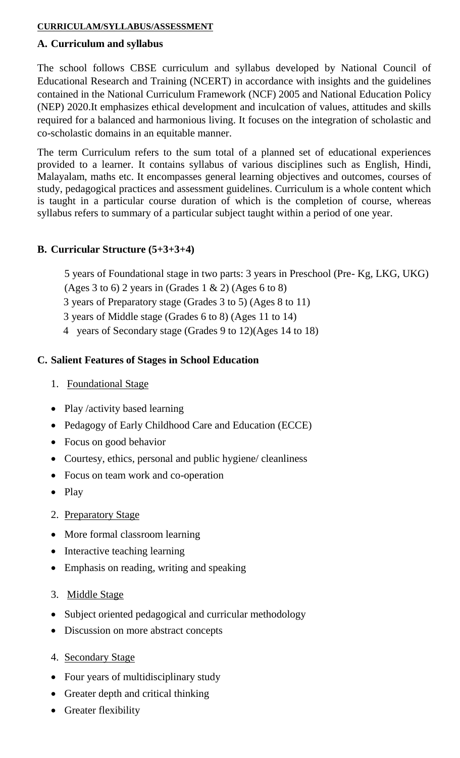#### **CURRICULAM/SYLLABUS/ASSESSMENT**

#### **A. Curriculum and syllabus**

The school follows CBSE curriculum and syllabus developed by National Council of Educational Research and Training (NCERT) in accordance with insights and the guidelines contained in the National Curriculum Framework (NCF) 2005 and National Education Policy (NEP) 2020.It emphasizes ethical development and inculcation of values, attitudes and skills required for a balanced and harmonious living. It focuses on the integration of scholastic and co-scholastic domains in an equitable manner.

The term Curriculum refers to the sum total of a planned set of educational experiences provided to a learner. It contains syllabus of various disciplines such as English, Hindi, Malayalam, maths etc. It encompasses general learning objectives and outcomes, courses of study, pedagogical practices and assessment guidelines. Curriculum is a whole content which is taught in a particular course duration of which is the completion of course, whereas syllabus refers to summary of a particular subject taught within a period of one year.

### **B. Curricular Structure (5+3+3+4)**

5 years of Foundational stage in two parts: 3 years in Preschool (Pre- Kg, LKG, UKG)

- (Ages 3 to 6) 2 years in (Grades 1 & 2) (Ages 6 to 8)
- 3 years of Preparatory stage (Grades 3 to 5) (Ages 8 to 11)
- 3 years of Middle stage (Grades 6 to 8) (Ages 11 to 14)
- 4 years of Secondary stage (Grades 9 to 12)(Ages 14 to 18)

### **C. Salient Features of Stages in School Education**

- 1. Foundational Stage
- Play /activity based learning
- Pedagogy of Early Childhood Care and Education (ECCE)
- Focus on good behavior
- Courtesy, ethics, personal and public hygiene/ cleanliness
- Focus on team work and co-operation
- Play
- 2. Preparatory Stage
- More formal classroom learning
- Interactive teaching learning
- Emphasis on reading, writing and speaking
- 3. Middle Stage
- Subject oriented pedagogical and curricular methodology
- Discussion on more abstract concepts
- 4. Secondary Stage
- Four years of multidisciplinary study
- Greater depth and critical thinking
- Greater flexibility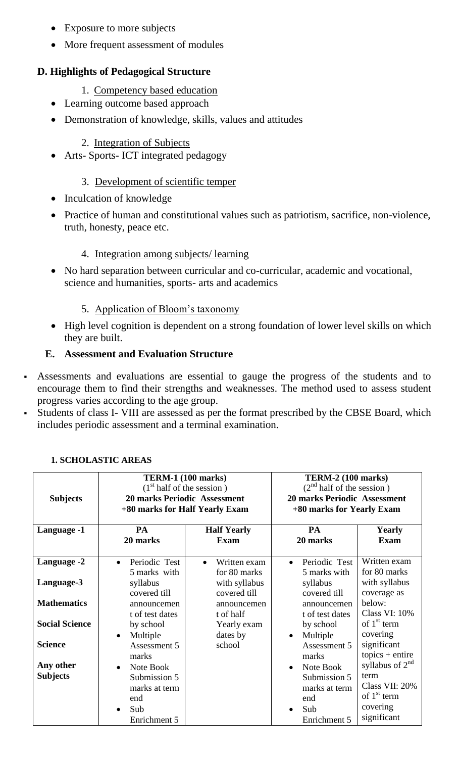- Exposure to more subjects
- More frequent assessment of modules

# **D. Highlights of Pedagogical Structure**

- 1. Competency based education
- Learning outcome based approach
- Demonstration of knowledge, skills, values and attitudes

### 2. Integration of Subjects

• Arts- Sports- ICT integrated pedagogy

## 3. Development of scientific temper

- Inculcation of knowledge
- Practice of human and constitutional values such as patriotism, sacrifice, non-violence, truth, honesty, peace etc.

# 4. Integration among subjects/ learning

 No hard separation between curricular and co-curricular, academic and vocational, science and humanities, sports- arts and academics

# 5. Application of Bloom's taxonomy

• High level cognition is dependent on a strong foundation of lower level skills on which they are built.

### **E. Assessment and Evaluation Structure**

- Assessments and evaluations are essential to gauge the progress of the students and to encourage them to find their strengths and weaknesses. The method used to assess student progress varies according to the age group.
- Students of class I- VIII are assessed as per the format prescribed by the CBSE Board, which includes periodic assessment and a terminal examination.

| <b>Subjects</b><br>Language -1 | <b>TERM-1 (100 marks)</b><br>(1 <sup>st</sup> half of the session)<br><b>20 marks Periodic Assessment</b><br>+80 marks for Half Yearly Exam<br><b>PA</b><br><b>Half Yearly</b><br>20 marks<br><b>Exam</b> |                                           | <b>TERM-2 (100 marks)</b><br>(2 <sup>nd</sup> half of the session)<br><b>20 marks Periodic Assessment</b><br>+80 marks for Yearly Exam<br>PA<br><b>Yearly</b><br>20 marks<br><b>Exam</b> |                                  |
|--------------------------------|-----------------------------------------------------------------------------------------------------------------------------------------------------------------------------------------------------------|-------------------------------------------|------------------------------------------------------------------------------------------------------------------------------------------------------------------------------------------|----------------------------------|
|                                |                                                                                                                                                                                                           |                                           |                                                                                                                                                                                          |                                  |
| Language -2                    | Periodic Test<br>$\bullet$<br>5 marks with                                                                                                                                                                | Written exam<br>$\bullet$<br>for 80 marks | Periodic Test<br>$\bullet$<br>5 marks with                                                                                                                                               | Written exam<br>for 80 marks     |
| Language-3                     | syllabus<br>covered till                                                                                                                                                                                  | with syllabus<br>covered till             | syllabus<br>covered till                                                                                                                                                                 | with syllabus<br>coverage as     |
| <b>Mathematics</b>             | announcemen<br>t of test dates                                                                                                                                                                            | announcemen<br>t of half                  | announcemen<br>t of test dates                                                                                                                                                           | below:<br><b>Class VI: 10%</b>   |
| <b>Social Science</b>          | by school<br>Multiple<br>$\bullet$                                                                                                                                                                        | Yearly exam<br>dates by                   | by school<br>Multiple<br>$\bullet$                                                                                                                                                       | of $1st$ term<br>covering        |
| <b>Science</b>                 | Assessment 5<br>marks                                                                                                                                                                                     | school                                    | Assessment 5<br>marks                                                                                                                                                                    | significant<br>$topics + entire$ |
| Any other<br><b>Subjects</b>   | Note Book<br>$\bullet$<br>Submission 5                                                                                                                                                                    |                                           | Note Book<br>$\bullet$<br>Submission 5                                                                                                                                                   | syllabus of $2^{nd}$<br>term     |
|                                | marks at term<br>end                                                                                                                                                                                      |                                           | marks at term<br>end                                                                                                                                                                     | Class VII: 20%<br>of $1st$ term  |
|                                | Sub<br>$\bullet$<br>Enrichment 5                                                                                                                                                                          |                                           | Sub<br>$\bullet$<br>Enrichment 5                                                                                                                                                         | covering<br>significant          |

### **1. SCHOLASTIC AREAS**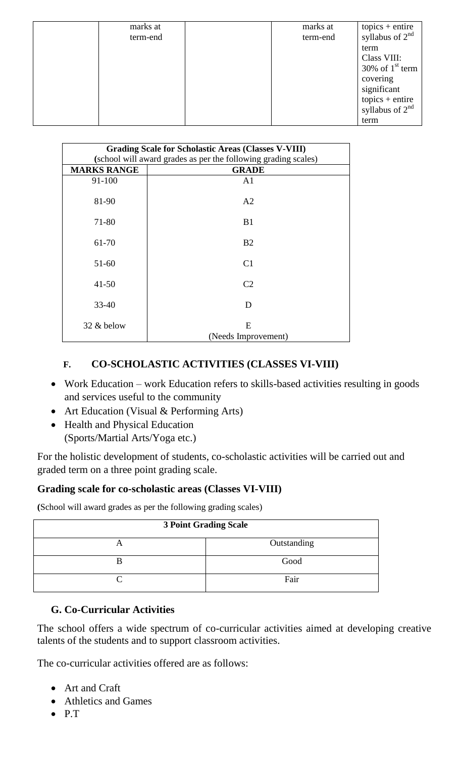| marks at | marks at |                                      |
|----------|----------|--------------------------------------|
| term-end | term-end | topics + entire<br>syllabus of $2nd$ |
|          |          | term                                 |
|          |          | Class VIII:                          |
|          |          | 30% of $1st$ term                    |
|          |          | covering                             |
|          |          | significant                          |
|          |          |                                      |
|          |          | topics + entire<br>syllabus of $2nd$ |
|          |          | term                                 |

| <b>Grading Scale for Scholastic Areas (Classes V-VIII)</b> |                                                                                |  |  |  |
|------------------------------------------------------------|--------------------------------------------------------------------------------|--|--|--|
| <b>MARKS RANGE</b>                                         | (school will award grades as per the following grading scales)<br><b>GRADE</b> |  |  |  |
|                                                            |                                                                                |  |  |  |
| 91-100                                                     | A <sub>1</sub>                                                                 |  |  |  |
| 81-90                                                      | A <sub>2</sub>                                                                 |  |  |  |
|                                                            |                                                                                |  |  |  |
| 71-80                                                      | B <sub>1</sub>                                                                 |  |  |  |
|                                                            |                                                                                |  |  |  |
| 61-70                                                      | B <sub>2</sub>                                                                 |  |  |  |
|                                                            |                                                                                |  |  |  |
| $51 - 60$                                                  | C <sub>1</sub>                                                                 |  |  |  |
| $41 - 50$                                                  | C <sub>2</sub>                                                                 |  |  |  |
|                                                            |                                                                                |  |  |  |
| $33 - 40$                                                  | D                                                                              |  |  |  |
|                                                            |                                                                                |  |  |  |
| 32 & below                                                 | E                                                                              |  |  |  |
|                                                            | (Needs Improvement)                                                            |  |  |  |

# **F. CO-SCHOLASTIC ACTIVITIES (CLASSES VI-VIII)**

- Work Education work Education refers to skills-based activities resulting in goods and services useful to the community
- Art Education (Visual & Performing Arts)
- Health and Physical Education (Sports/Martial Arts/Yoga etc.)

For the holistic development of students, co-scholastic activities will be carried out and graded term on a three point grading scale.

#### **Grading scale for co-scholastic areas (Classes VI-VIII)**

**(**School will award grades as per the following grading scales)

| <b>3 Point Grading Scale</b> |             |  |  |  |
|------------------------------|-------------|--|--|--|
| A                            | Outstanding |  |  |  |
|                              | Good        |  |  |  |
|                              | Fair        |  |  |  |

#### **G. Co-Curricular Activities**

The school offers a wide spectrum of co-curricular activities aimed at developing creative talents of the students and to support classroom activities.

The co-curricular activities offered are as follows:

- Art and Craft
- Athletics and Games
- $\bullet$  P.T